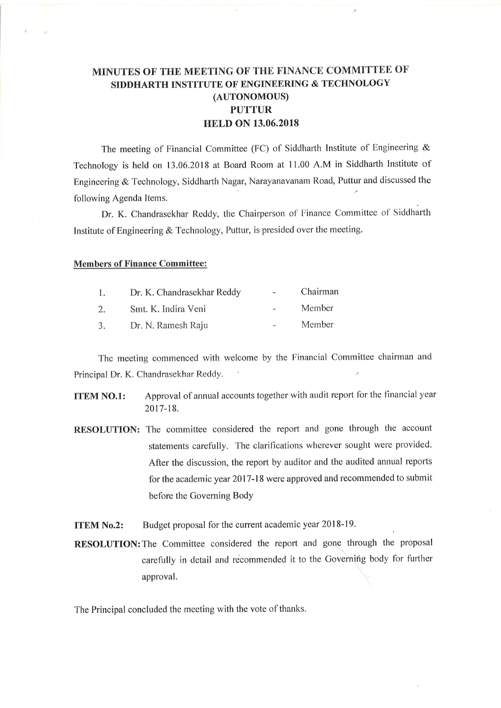## MINUTES OF THE MEETING OF THE FINANCE COMMITTEE OF SIDDHARTH INSTITUTE OF ENGINEERING & TECHNOLOGY (AUTONOMOUS) PUTTUR HELD ON 13.06.2018

The meeting of Financial Committee (FC) of Siddharth Institute of Engineering & Technology is held on 13.06.2018 at Board Room at 11.00 A.M in Siddharth Institute of Engineering & Technology, Siddharth Nagar, Narayanavanam Road, Puttur and discussed the following Agenda Items.

Dr. K. Chandrasekhar Reddy, the Chairperson of Finance Committee of Siddharth Institute of Engineering & Technology, Puttur, is presided over the meeting.

## Members of Finance Committee:

| $\mathbf{1}$ . | Dr. K. Chandrasekhar Reddy | $\sim$ | Chairman |
|----------------|----------------------------|--------|----------|
| 2.             | Smt. K. Indira Veni        |        | Member   |
| 3.             | Dr. N. Ramesh Raju         | $\sim$ | Member   |

Thc meeting commenced with welcome by the Financial Committee chairman and Principal Dr. K. Chandrasekhar Reddy.

- ITEM NO.1: Approval of annual accounts together with audit report for the financial year 2017-18.
- RESOLUTION: The committee considered the report and gone through the account statements carefully. The clarifications wherever sought were provided. After the discussion, the report by auditor and the audited annual reports for the academic year 2017-18 were approved and recommended to submit before the Governing Body

ITEM No.2: Budget proposal for the current academic year 2018-19.

RESOLUTION: The Committee considered the report and gone through the proposal carefully in detail and recommended it to the Governifig body for further approval.

The Principal concluded the meeting with the vote of thanks.